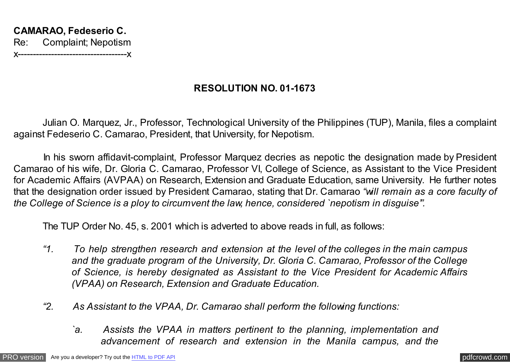## **RESOLUTION NO. 01-1673**

Julian O. Marquez, Jr., Professor, Technological University of the Philippines (TUP), Manila, files a complaint against Fedeserio C. Camarao, President, that University, for Nepotism.

 In his sworn affidavit-complaint, Professor Marquez decries as nepotic the designation made by President Camarao of his wife, Dr. Gloria C. Camarao, Professor VI, College of Science, as Assistant to the Vice President for Academic Affairs (AVPAA) on Research, Extension and Graduate Education, same University. He further notes that the designation order issued by President Camarao, stating that Dr. Camarao *"will remain as a core faculty of the College of Science is a ploy to circumvent the law, hence, considered `nepotism in disguise'".*

The TUP Order No. 45, s. 2001 which is adverted to above reads in full, as follows:

- *"1. To help strengthen research and extension at the level of the colleges in the main campus and the graduate program of the University, Dr. Gloria C. Camarao, Professor of the College of Science, is hereby designated as Assistant to the Vice President for Academic Affairs (VPAA) on Research, Extension and Graduate Education.*
- *"2. As Assistant to the VPAA, Dr. Camarao shall perform the following functions:*
	- *`a. Assists the VPAA in matters pertinent to the planning, implementation and advancement of research and extension in the Manila campus, and the*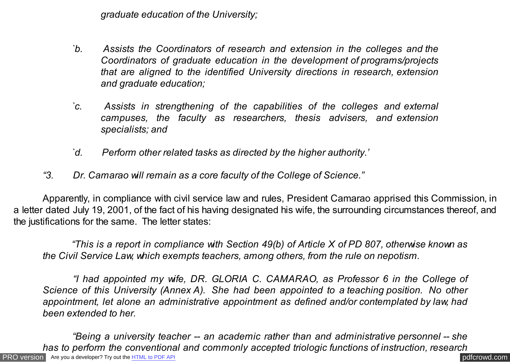*graduate education of the University;*

- *`b. Assists the Coordinators of research and extension in the colleges and the Coordinators of graduate education in the development of programs/projects that are aligned to the identified University directions in research, extension and graduate education;*
- *`c. Assists in strengthening of the capabilities of the colleges and external campuses, the faculty as researchers, thesis advisers, and extension specialists; and*
- *`d. Perform other related tasks as directed by the higher authority.'*
- *"3. Dr. Camarao will remain as a core faculty of the College of Science."*

 Apparently, in compliance with civil service law and rules, President Camarao apprised this Commission, in a letter dated July 19, 2001, of the fact of his having designated his wife, the surrounding circumstances thereof, and the justifications for the same. The letter states:

 *"This is a report in compliance with Section 49(b) of Article X of PD 807, otherwise known as the Civil Service Law, which exempts teachers, among others, from the rule on nepotism.*

 *"I had appointed my wife, DR. GLORIA C. CAMARAO, as Professor 6 in the College of Science of this University (Annex A). She had been appointed to a teaching position. No other appointment, let alone an administrative appointment as defined and/or contemplated by law, had been extended to her.*

[PRO version](http://pdfcrowd.com/customize/) Are you a developer? Try out th[e HTML to PDF API](http://pdfcrowd.com/html-to-pdf-api/?ref=pdf) contract the contract of the HTML to PDF API [pdfcrowd.com](http://pdfcrowd.com)  *"Being a university teacher -- an academic rather than and administrative personnel -- she has to perform the conventional and commonly accepted triologic functions of instruction, research*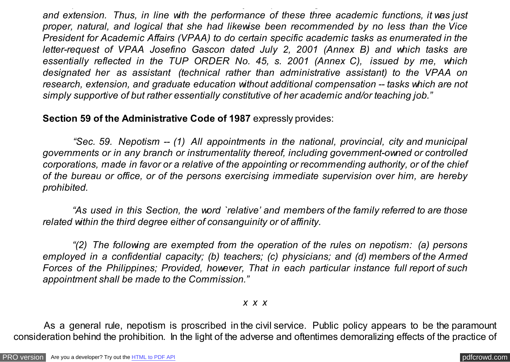*and extension. Thus, in line with the performance of these three academic functions, it was just proper, natural, and logical that she had likewise been recommended by no less than the Vice President for Academic Affairs (VPAA) to do certain specific academic tasks as enumerated in the letter-request of VPAA Josefino Gascon dated July 2, 2001 (Annex B) and which tasks are essentially reflected in the TUP ORDER No. 45, s. 2001 (Annex C), issued by me, which designated her as assistant (technical rather than administrative assistant) to the VPAA on research, extension, and graduate education without additional compensation -- tasks which are not simply supportive of but rather essentially constitutive of her academic and/or teaching job."*

*has to perform the conventional and commonly accepted triologic functions of instruction, research*

## **Section 59 of the Administrative Code of 1987** expressly provides:

 *"Sec. 59. Nepotism -- (1) All appointments in the national, provincial, city and municipal governments or in any branch or instrumentality thereof, including government-owned or controlled corporations, made in favor or a relative of the appointing or recommending authority, or of the chief of the bureau or office, or of the persons exercising immediate supervision over him, are hereby prohibited.*

 *"As used in this Section, the word `relative' and members of the family referred to are those related within the third degree either of consanguinity or of affinity.*

 *"(2) The following are exempted from the operation of the rules on nepotism: (a) persons employed in a confidential capacity; (b) teachers; (c) physicians; and (d) members of the Armed Forces of the Philippines; Provided, however, That in each particular instance full report of such appointment shall be made to the Commission."*

## *x x x*

 As a general rule, nepotism is proscribed in the civil service. Public policy appears to be the paramount consideration behind the prohibition. In the light of the adverse and oftentimes demoralizing effects of the practice of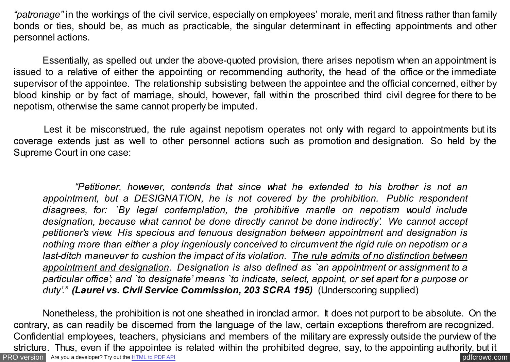*"patronage"* in the workings of the civil service, especially on employees' morale, merit and fitness rather than family bonds or ties, should be, as much as practicable, the singular determinant in effecting appointments and other personnel actions.

 Essentially, as spelled out under the above-quoted provision, there arises nepotism when an appointment is issued to a relative of either the appointing or recommending authority, the head of the office or the immediate supervisor of the appointee. The relationship subsisting between the appointee and the official concerned, either by blood kinship or by fact of marriage, should, however, fall within the proscribed third civil degree for there to be nepotism, otherwise the same cannot properly be imputed.

Lest it be misconstrued, the rule against nepotism operates not only with regard to appointments but its coverage extends just as well to other personnel actions such as promotion and designation. So held by the Supreme Court in one case:

 *"Petitioner, however, contends that since what he extended to his brother is not an appointment, but a DESIGNATION, he is not covered by the prohibition. Public respondent disagrees, for: `By legal contemplation, the prohibitive mantle on nepotism would include designation, because what cannot be done directly cannot be done indirectly'. We cannot accept petitioner's view. His specious and tenuous designation between appointment and designation is nothing more than either a ploy ingeniously conceived to circumvent the rigid rule on nepotism or a last-ditch maneuver to cushion the impact of its violation. The rule admits of no distinction between appointment and designation. Designation is also defined as `an appointment or assignment to a particular office'; and `to designate' means `to indicate, select, appoint, or set apart for a purpose or duty'." (Laurel vs. Civil Service Commission, 203 SCRA 195)* (Underscoring supplied)

[PRO version](http://pdfcrowd.com/customize/) Are you a developer? Try out th[e HTML to PDF API](http://pdfcrowd.com/html-to-pdf-api/?ref=pdf) [pdfcrowd.com](http://pdfcrowd.com) Nonetheless, the prohibition is not one sheathed in ironclad armor. It does not purport to be absolute. On the contrary, as can readily be discerned from the language of the law, certain exceptions therefrom are recognized. Confidential employees, teachers, physicians and members of the military are expressly outside the purview of the stricture. Thus, even if the appointee is related within the prohibited degree, say, to the appointing authority, but it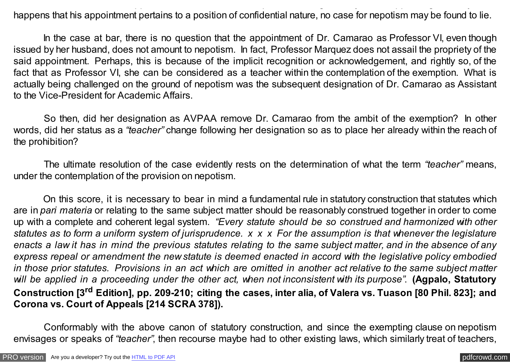stricture. Thus, even if the appointee is related within the prohibited degree, say, to the appointing authority, but it happens that his appointment pertains to a position of confidential nature, no case for nepotism may be found to lie.

In the case at bar, there is no question that the appointment of Dr. Camarao as Professor VI, even though issued by her husband, does not amount to nepotism. In fact, Professor Marquez does not assail the propriety of the said appointment. Perhaps, this is because of the implicit recognition or acknowledgement, and rightly so, of the fact that as Professor VI, she can be considered as a teacher within the contemplation of the exemption. What is actually being challenged on the ground of nepotism was the subsequent designation of Dr. Camarao as Assistant to the Vice-President for Academic Affairs.

 So then, did her designation as AVPAA remove Dr. Camarao from the ambit of the exemption? In other words, did her status as a *"teacher"* change following her designation so as to place her already within the reach of the prohibition?

 The ultimate resolution of the case evidently rests on the determination of what the term *"teacher"* means, under the contemplation of the provision on nepotism.

 On this score, it is necessary to bear in mind a fundamental rule in statutory construction that statutes which are in *pari materia* or relating to the same subject matter should be reasonably construed together in order to come up with a complete and coherent legal system. *"Every statute should be so construed and harmonized with other statutes as to form a uniform system of jurisprudence. x x x For the assumption is that whenever the legislature enacts a law it has in mind the previous statutes relating to the same subject matter, and in the absence of any express repeal or amendment the new statute is deemed enacted in accord with the legislative policy embodied in those prior statutes. Provisions in an act which are omitted in another act relative to the same subject matter will be applied in a proceeding under the other act, when not inconsistent with its purpose"*. **(Agpalo, Statutory Construction [3rd Edition], pp. 209-210; citing the cases, inter alia, of Valera vs. Tuason [80 Phil. 823]; and Corona vs. Court of Appeals [214 SCRA 378]).**

Conformably with the above canon of statutory construction, and since the exempting clause on nepotism envisages or speaks of *"teacher"*, then recourse maybe had to other existing laws, which similarly treat of teachers,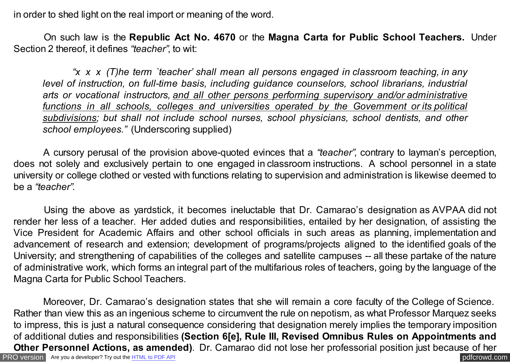in order to shed light on the real import or meaning of the word.

 On such law is the **Republic Act No. 4670** or the **Magna Carta for Public School Teachers.** Under Section 2 thereof, it defines *"teacher"*, to wit:

 *"x x x (T)he term `teacher' shall mean all persons engaged in classroom teaching, in any level of instruction, on full-time basis, including guidance counselors, school librarians, industrial arts or vocational instructors, and all other persons performing supervisory and/or administrative functions in all schools, colleges and universities operated by the Government or its political subdivisions; but shall not include school nurses, school physicians, school dentists, and other school employees."* (Underscoring supplied)

 A cursory perusal of the provision above-quoted evinces that a *"teacher"*, contrary to layman's perception, does not solely and exclusively pertain to one engaged in classroom instructions. A school personnel in a state university or college clothed or vested with functions relating to supervision and administration is likewise deemed to be a *"teacher"*.

 Using the above as yardstick, it becomes ineluctable that Dr. Camarao's designation as AVPAA did not render her less of a teacher. Her added duties and responsibilities, entailed by her designation, of assisting the Vice President for Academic Affairs and other school officials in such areas as planning, implementation and advancement of research and extension; development of programs/projects aligned to the identified goals of the University; and strengthening of capabilities of the colleges and satellite campuses -- all these partake of the nature of administrative work, which forms an integral part of the multifarious roles of teachers, going by the language of the Magna Carta for Public School Teachers.

[PRO version](http://pdfcrowd.com/customize/) Are you a developer? Try out th[e HTML to PDF API](http://pdfcrowd.com/html-to-pdf-api/?ref=pdf) pdf crowd.com Moreover, Dr. Camarao's designation states that she will remain a core faculty of the College of Science. Rather than view this as an ingenious scheme to circumvent the rule on nepotism, as what Professor Marquez seeks to impress, this is just a natural consequence considering that designation merely implies the temporary imposition of additional duties and responsibilities **(Section 6[e], Rule III, Revised Omnibus Rules on Appointments and Other Personnel Actions, as amended)**. Dr. Camarao did not lose her professorial position just because of her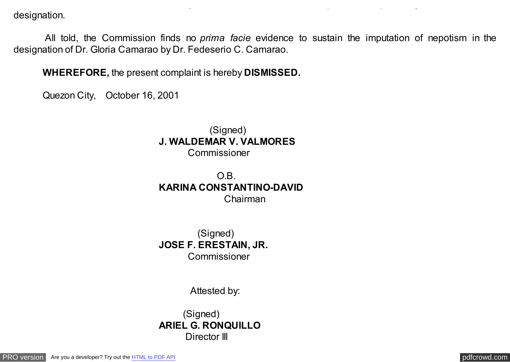designation.

 All told, the Commission finds no *prima facie* evidence to sustain the imputation of nepotism in the designation of Dr. Gloria Camarao by Dr. Fedeserio C. Camarao.

**Other Personnel Actions, as amended)**. Dr. Camarao did not lose her professorial position just because of her

**WHEREFORE,** the present complaint is hereby **DISMISSED.**

Quezon City, October 16, 2001

(Signed) **J. WALDEMAR V. VALMORES** Commissioner

O.B. **KARINA CONSTANTINO-DAVID** Chairman

 (Signed) **JOSE F. ERESTAIN, JR.** Commissioner

Attested by:

(Signed) **ARIEL G. RONQUILLO** Director III